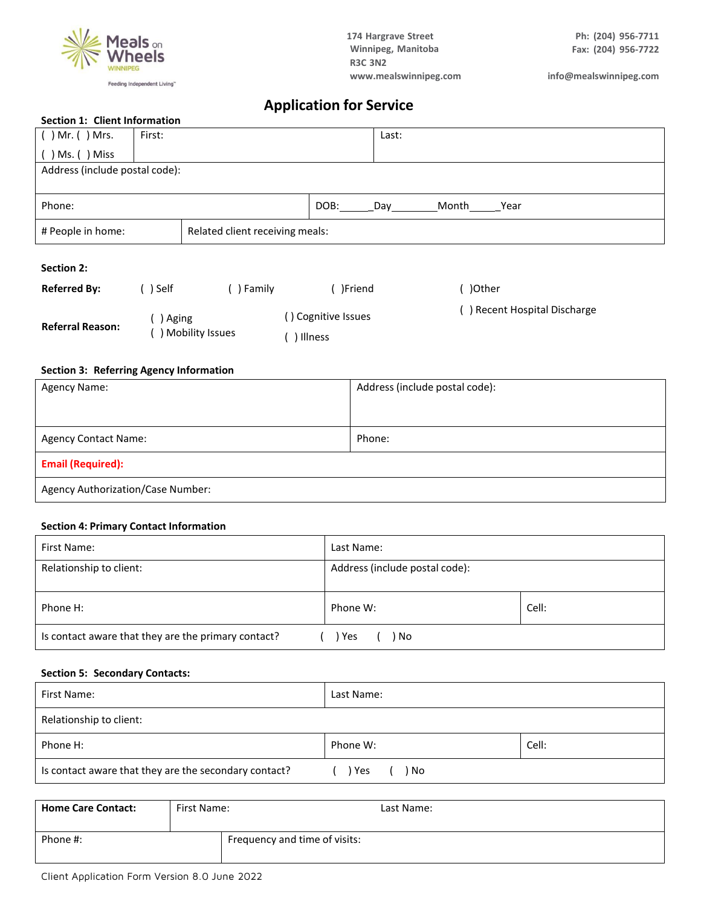

# **Application for Service**

| $55500000011$ $\pm 1$ . $\pm 11100000000000011$ |        |                                 |      |       |       |      |
|-------------------------------------------------|--------|---------------------------------|------|-------|-------|------|
| $( )$ Mr. $( )$ Mrs.                            | First: |                                 |      | Last: |       |      |
| $( )$ Ms. $( )$ Miss                            |        |                                 |      |       |       |      |
| Address (include postal code):                  |        |                                 |      |       |       |      |
|                                                 |        |                                 |      |       |       |      |
| Phone:                                          |        |                                 | DOB: | Dav   | Month | Year |
| # People in home:                               |        | Related client receiving meals: |      |       |       |      |
|                                                 |        |                                 |      |       |       |      |

### **Section 2:**

| <b>Referred By:</b>     | ) Self            | ) Family | )Friend             | )Other                      |
|-------------------------|-------------------|----------|---------------------|-----------------------------|
| <b>Referral Reason:</b> | Aging             |          | ') Cognitive Issues | ) Recent Hospital Discharge |
|                         | ) Mobility Issues |          | Illness             |                             |

#### **Section 3: Referring Agency Information**

| <b>Agency Name:</b>               | Address (include postal code): |  |  |  |  |  |  |
|-----------------------------------|--------------------------------|--|--|--|--|--|--|
|                                   |                                |  |  |  |  |  |  |
|                                   |                                |  |  |  |  |  |  |
| <b>Agency Contact Name:</b>       | Phone:                         |  |  |  |  |  |  |
| <b>Email (Required):</b>          |                                |  |  |  |  |  |  |
| Agency Authorization/Case Number: |                                |  |  |  |  |  |  |

#### **Section 4: Primary Contact Information**

| First Name:                                                      | Last Name:                     |       |  |  |  |  |  |
|------------------------------------------------------------------|--------------------------------|-------|--|--|--|--|--|
| Relationship to client:                                          | Address (include postal code): |       |  |  |  |  |  |
| Phone H:                                                         | Phone W:                       | Cell: |  |  |  |  |  |
| Is contact aware that they are the primary contact?<br>Yes<br>No |                                |       |  |  |  |  |  |

#### **Section 5: Secondary Contacts:**

| First Name:                                           | Last Name:  |       |  |  |  |  |  |
|-------------------------------------------------------|-------------|-------|--|--|--|--|--|
| Relationship to client:                               |             |       |  |  |  |  |  |
| Phone H:                                              | Phone W:    | Cell: |  |  |  |  |  |
| Is contact aware that they are the secondary contact? | Yes<br>) No |       |  |  |  |  |  |

| <b>Home Care Contact:</b> | First Name: | Last Name:                    |
|---------------------------|-------------|-------------------------------|
| Phone #:                  |             | Frequency and time of visits: |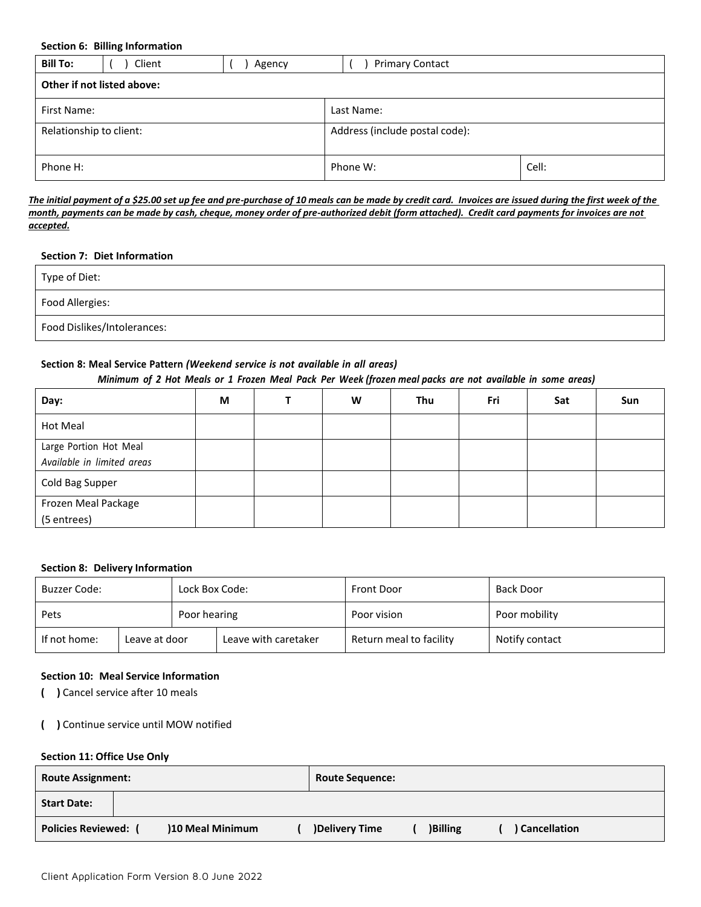**Section 6: Billing Information**

| <b>Bill To:</b>            | Client     | Agency | <b>Primary Contact</b>         |  |  |  |  |  |  |
|----------------------------|------------|--------|--------------------------------|--|--|--|--|--|--|
| Other if not listed above: |            |        |                                |  |  |  |  |  |  |
| First Name:                | Last Name: |        |                                |  |  |  |  |  |  |
| Relationship to client:    |            |        | Address (include postal code): |  |  |  |  |  |  |
| Phone H:                   |            |        | Cell:<br>Phone W:              |  |  |  |  |  |  |

*The initial payment of a \$25.00 set up fee and pre-purchase of 10 meals can be made by credit card. Invoices are issued during the first week of the month, payments can be made by cash, cheque, money order of pre-authorized debit (form attached). Credit card payments for invoices are not accepted.*

#### **Section 7: Diet Information**

| Type of Diet:               |  |
|-----------------------------|--|
| Food Allergies:             |  |
| Food Dislikes/Intolerances: |  |

#### **Section 8: Meal Service Pattern** *(Weekend service is not available in all areas)*

#### Minimum of 2 Hot Meals or 1 Frozen Meal Pack Per Week (frozen meal packs are not available in some areas)

| Day:                                                 | M | W | Thu | Fri | Sat | Sun |
|------------------------------------------------------|---|---|-----|-----|-----|-----|
| <b>Hot Meal</b>                                      |   |   |     |     |     |     |
| Large Portion Hot Meal<br>Available in limited areas |   |   |     |     |     |     |
| Cold Bag Supper                                      |   |   |     |     |     |     |
| Frozen Meal Package                                  |   |   |     |     |     |     |
| (5 entrees)                                          |   |   |     |     |     |     |

#### **Section 8: Delivery Information**

| Buzzer Code:                  |  | Lock Box Code: |                      | <b>Front Door</b>       | <b>Back Door</b> |  |
|-------------------------------|--|----------------|----------------------|-------------------------|------------------|--|
| Pets                          |  | Poor hearing   |                      | Poor vision             | Poor mobility    |  |
| If not home:<br>Leave at door |  |                | Leave with caretaker | Return meal to facility | Notify contact   |  |

#### **Section 10: Meal Service Information**

- **( )** Cancel service after 10 meals
- **( )** Continue service until MOW notified

#### **Section 11: Office Use Only**

| <b>Route Assignment:</b>    |  |                 | <b>Route Sequence:</b> |               |  |                |  |              |
|-----------------------------|--|-----------------|------------------------|---------------|--|----------------|--|--------------|
| <b>Start Date:</b>          |  |                 |                        |               |  |                |  |              |
| <b>Policies Reviewed:</b> ( |  | 10 Meal Minimum |                        | Delivery Time |  | <b>Billing</b> |  | Cancellation |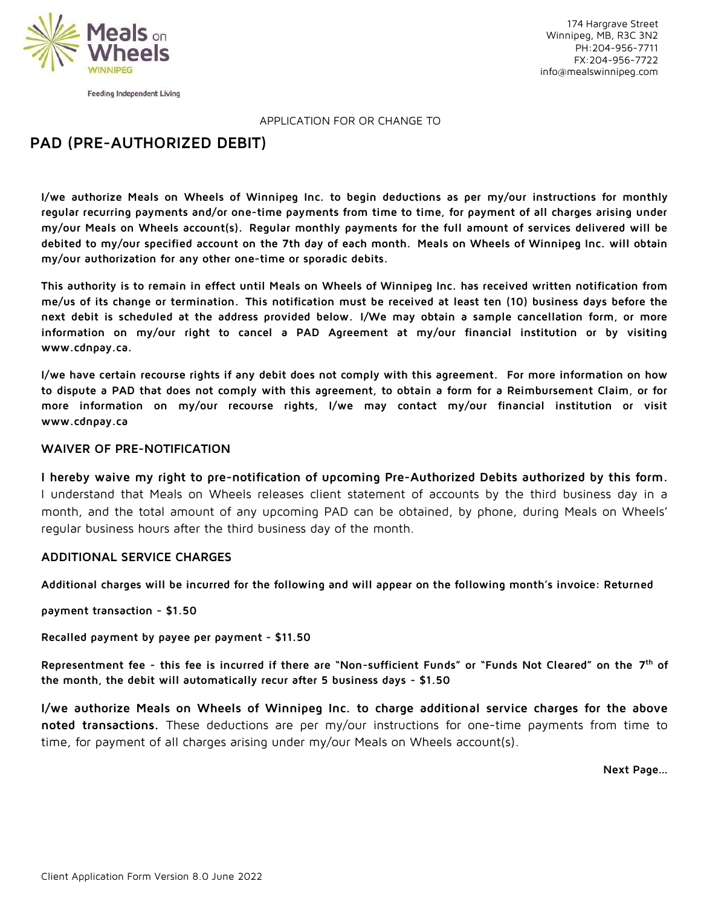

Feeding Independent Living

174 Hargrave Street Winnipeg, MB, R3C 3N2 PH:204-956-7711 FX:204-956-7722 [info@mealswinnipeg.com](mailto:info@mealswinnipeg.com)

APPLICATION FOR OR CHANGE TO

# **PAD (PRE-AUTHORIZED DEBIT)**

I/we authorize Meals on Wheels of Winnipeg Inc. to begin deductions as per my/our instructions for monthly **regular recurring payments and/or one-time payments from time to time, for payment of all charges arising under my/our Meals on Wheels account(s). Regular monthly payments for the full amount of services delivered will be debited to my/our specified account on the 7th day of each month. Meals on Wheels of Winnipeg Inc. will obtain my/our authorization for any other one-time or sporadic debits.**

**This authority is to remain in effect until Meals on Wheels of Winnipeg Inc. has received written notification from me/us of its change or termination. This notification must be received at least ten (10) business days before the next debit is scheduled at the address provided below. I/We may obtain a sample cancellation form, or more information on my/our right to cancel a PAD Agreement at my/our financial institution or by visiting [www.cdnpay.ca.](http://www.cdnpay.ca/)**

**I/we have certain recourse rights if any debit does not comply with this agreement. For more information on how to dispute a PAD that does not comply with this agreement, to obtain a form for a Reimbursement Claim, or for more information on my/our recourse rights, I/we may contact my/our financial institution or visit [www.cdnpay.ca](http://www.cdnpay.ca/)**

## **WAIVER OF PRE-NOTIFICATION**

**I hereby waive my right to pre-notification of upcoming Pre-Authorized Debits authorized by this form.** I understand that Meals on Wheels releases client statement of accounts by the third business day in a month, and the total amount of any upcoming PAD can be obtained, by phone, during Meals on Wheels' regular business hours after the third business day of the month.

## **ADDITIONAL SERVICE CHARGES**

Additional charges will be incurred for the following and will appear on the following month's invoice: Returned

**payment transaction - \$1.50**

### **Recalled payment by payee per payment - \$11.50**

**Representment fee - this fee is incurred if there are "Non-sufficient Funds" or "Funds Not Cleared" on the 7 th of the month, the debit will automatically recur after 5 business days - \$1.50**

**I/we authorize Meals on Wheels of Winnipeg Inc. to charge additional service charges for the above noted transactions.** These deductions are per my/our instructions for one-time payments from time to time, for payment of all charges arising under my/our Meals on Wheels account(s).

**Next Page…**